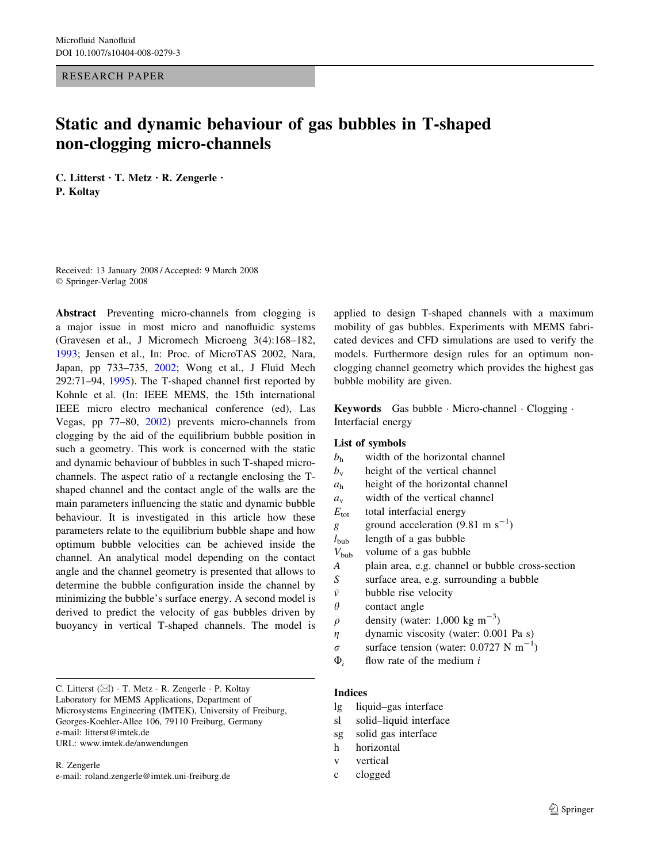RESEARCH PAPER

# Static and dynamic behaviour of gas bubbles in T-shaped non-clogging micro-channels

C. Litterst  $\cdot$  T. Metz  $\cdot$  R. Zengerle  $\cdot$ P. Koltay

Received: 13 January 2008 / Accepted: 9 March 2008 Springer-Verlag 2008

Abstract Preventing micro-channels from clogging is a major issue in most micro and nanofluidic systems (Gravesen et al., J Micromech Microeng 3(4):168–182, [1993;](#page-9-0) Jensen et al., In: Proc. of MicroTAS 2002, Nara, Japan, pp 733–735, [2002;](#page-9-0) Wong et al., J Fluid Mech 292:71–94, [1995\)](#page-9-0). The T-shaped channel first reported by Kohnle et al. (In: IEEE MEMS, the 15th international IEEE micro electro mechanical conference (ed), Las Vegas, pp 77–80, [2002](#page-9-0)) prevents micro-channels from clogging by the aid of the equilibrium bubble position in such a geometry. This work is concerned with the static and dynamic behaviour of bubbles in such T-shaped microchannels. The aspect ratio of a rectangle enclosing the Tshaped channel and the contact angle of the walls are the main parameters influencing the static and dynamic bubble behaviour. It is investigated in this article how these parameters relate to the equilibrium bubble shape and how optimum bubble velocities can be achieved inside the channel. An analytical model depending on the contact angle and the channel geometry is presented that allows to determine the bubble configuration inside the channel by minimizing the bubble's surface energy. A second model is derived to predict the velocity of gas bubbles driven by buoyancy in vertical T-shaped channels. The model is

C. Litterst ( $\boxtimes$ ) · T. Metz · R. Zengerle · P. Koltay Laboratory for MEMS Applications, Department of Microsystems Engineering (IMTEK), University of Freiburg, Georges-Koehler-Allee 106, 79110 Freiburg, Germany e-mail: litterst@imtek.de URL: www.imtek.de/anwendungen

R. Zengerle e-mail: roland.zengerle@imtek.uni-freiburg.de

applied to design T-shaped channels with a maximum mobility of gas bubbles. Experiments with MEMS fabricated devices and CFD simulations are used to verify the models. Furthermore design rules for an optimum nonclogging channel geometry which provides the highest gas bubble mobility are given.

Keywords Gas bubble · Micro-channel · Clogging · Interfacial energy

# List of symbols

- $b<sub>h</sub>$  width of the horizontal channel
- $b_v$  height of the vertical channel
- $a<sub>h</sub>$  height of the horizontal channel
- $a_{v}$  width of the vertical channel
- $E_{\text{tot}}$  total interfacial energy
- g ground acceleration  $(9.81 \text{ m s}^{-1})$
- $l_{\text{bub}}$  length of a gas bubble
- $V_{\text{bub}}$  volume of a gas bubble
- A plain area, e.g. channel or bubble cross-section
- S surface area, e.g. surrounding a bubble
- $\bar{v}$  bubble rise velocity
- $\theta$  contact angle
- $\rho$  density (water: 1,000 kg m<sup>-3</sup>)
- $\eta$  dynamic viscosity (water: 0.001 Pa s)
- $\sigma$  surface tension (water: 0.0727 N m<sup>-1</sup>)
- $\Phi_i$  flow rate of the medium i

# Indices

- lg liquid–gas interface
- sl solid–liquid interface
- sg solid gas interface
- h horizontal
- v vertical
- c clogged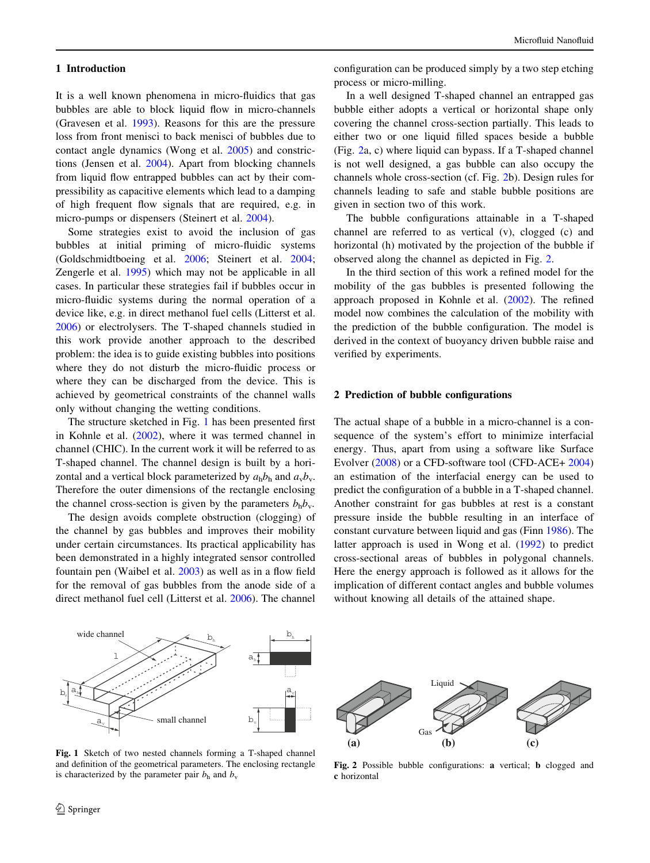#### <span id="page-1-0"></span>1 Introduction

It is a well known phenomena in micro-fluidics that gas bubbles are able to block liquid flow in micro-channels (Gravesen et al. [1993\)](#page-9-0). Reasons for this are the pressure loss from front menisci to back menisci of bubbles due to contact angle dynamics (Wong et al. [2005](#page-9-0)) and constrictions (Jensen et al. [2004\)](#page-9-0). Apart from blocking channels from liquid flow entrapped bubbles can act by their compressibility as capacitive elements which lead to a damping of high frequent flow signals that are required, e.g. in micro-pumps or dispensers (Steinert et al. [2004\)](#page-9-0).

Some strategies exist to avoid the inclusion of gas bubbles at initial priming of micro-fluidic systems (Goldschmidtboeing et al. [2006;](#page-9-0) Steinert et al. [2004](#page-9-0); Zengerle et al. [1995\)](#page-9-0) which may not be applicable in all cases. In particular these strategies fail if bubbles occur in micro-fluidic systems during the normal operation of a device like, e.g. in direct methanol fuel cells (Litterst et al. [2006\)](#page-9-0) or electrolysers. The T-shaped channels studied in this work provide another approach to the described problem: the idea is to guide existing bubbles into positions where they do not disturb the micro-fluidic process or where they can be discharged from the device. This is achieved by geometrical constraints of the channel walls only without changing the wetting conditions.

The structure sketched in Fig. 1 has been presented first in Kohnle et al. ([2002\)](#page-9-0), where it was termed channel in channel (CHIC). In the current work it will be referred to as T-shaped channel. The channel design is built by a horizontal and a vertical block parameterized by  $a_h b_h$  and  $a_v b_v$ . Therefore the outer dimensions of the rectangle enclosing the channel cross-section is given by the parameters  $b_h b_v$ .

The design avoids complete obstruction (clogging) of the channel by gas bubbles and improves their mobility under certain circumstances. Its practical applicability has been demonstrated in a highly integrated sensor controlled fountain pen (Waibel et al. [2003](#page-9-0)) as well as in a flow field for the removal of gas bubbles from the anode side of a direct methanol fuel cell (Litterst et al. [2006\)](#page-9-0). The channel configuration can be produced simply by a two step etching process or micro-milling.

In a well designed T-shaped channel an entrapped gas bubble either adopts a vertical or horizontal shape only covering the channel cross-section partially. This leads to either two or one liquid filled spaces beside a bubble (Fig. 2a, c) where liquid can bypass. If a T-shaped channel is not well designed, a gas bubble can also occupy the channels whole cross-section (cf. Fig. 2b). Design rules for channels leading to safe and stable bubble positions are given in section two of this work.

The bubble configurations attainable in a T-shaped channel are referred to as vertical (v), clogged (c) and horizontal (h) motivated by the projection of the bubble if observed along the channel as depicted in Fig. 2.

In the third section of this work a refined model for the mobility of the gas bubbles is presented following the approach proposed in Kohnle et al. [\(2002](#page-9-0)). The refined model now combines the calculation of the mobility with the prediction of the bubble configuration. The model is derived in the context of buoyancy driven bubble raise and verified by experiments.

# 2 Prediction of bubble configurations

The actual shape of a bubble in a micro-channel is a consequence of the system's effort to minimize interfacial energy. Thus, apart from using a software like Surface Evolver ([2008\)](#page-9-0) or a CFD-software tool (CFD-ACE+ [2004\)](#page-9-0) an estimation of the interfacial energy can be used to predict the configuration of a bubble in a T-shaped channel. Another constraint for gas bubbles at rest is a constant pressure inside the bubble resulting in an interface of constant curvature between liquid and gas (Finn [1986](#page-9-0)). The latter approach is used in Wong et al. [\(1992](#page-9-0)) to predict cross-sectional areas of bubbles in polygonal channels. Here the energy approach is followed as it allows for the implication of different contact angles and bubble volumes without knowing all details of the attained shape.



Fig. 1 Sketch of two nested channels forming a T-shaped channel and definition of the geometrical parameters. The enclosing rectangle is characterized by the parameter pair  $b<sub>h</sub>$  and  $b<sub>v</sub>$ 



Fig. 2 Possible bubble configurations: a vertical; b clogged and c horizontal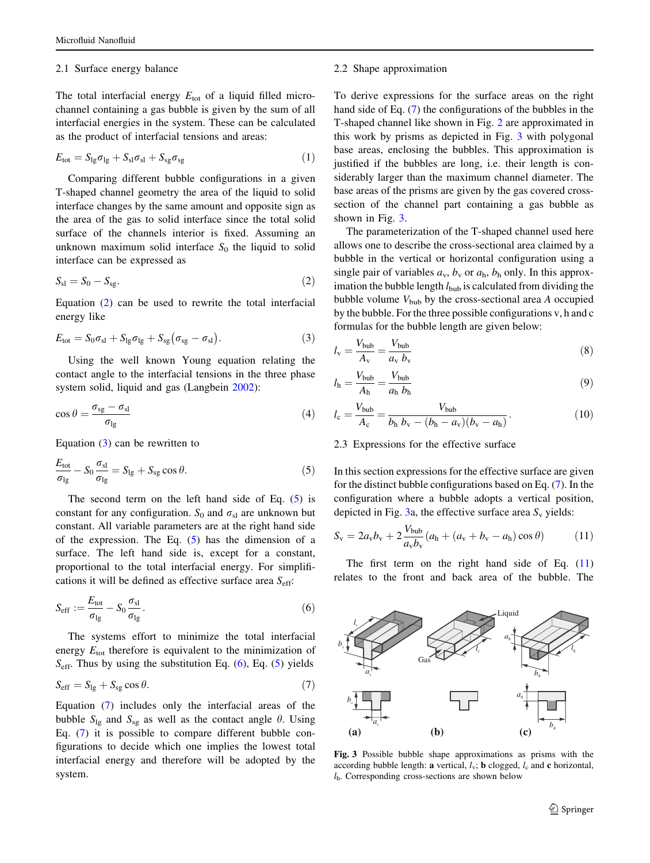#### <span id="page-2-0"></span>2.1 Surface energy balance

The total interfacial energy  $E_{\text{tot}}$  of a liquid filled microchannel containing a gas bubble is given by the sum of all interfacial energies in the system. These can be calculated as the product of interfacial tensions and areas:

$$
E_{\text{tot}} = S_{\text{lg}} \sigma_{\text{lg}} + S_{\text{sl}} \sigma_{\text{sl}} + S_{\text{sg}} \sigma_{\text{sg}} \tag{1}
$$

Comparing different bubble configurations in a given T-shaped channel geometry the area of the liquid to solid interface changes by the same amount and opposite sign as the area of the gas to solid interface since the total solid surface of the channels interior is fixed. Assuming an unknown maximum solid interface  $S_0$  the liquid to solid interface can be expressed as

$$
S_{\rm sl} = S_0 - S_{\rm sg}.\tag{2}
$$

Equation (2) can be used to rewrite the total interfacial energy like

$$
E_{\text{tot}} = S_0 \sigma_{\text{sl}} + S_{\text{lg}} \sigma_{\text{lg}} + S_{\text{sg}} (\sigma_{\text{sg}} - \sigma_{\text{sl}}). \tag{3}
$$

Using the well known Young equation relating the contact angle to the interfacial tensions in the three phase system solid, liquid and gas (Langbein [2002\)](#page-9-0):

$$
\cos \theta = \frac{\sigma_{\text{sg}} - \sigma_{\text{sl}}}{\sigma_{\text{lg}}}
$$
\n(4)

Equation (3) can be rewritten to

$$
\frac{E_{\text{tot}}}{\sigma_{\text{lg}}} - S_0 \frac{\sigma_{\text{sl}}}{\sigma_{\text{lg}}} = S_{\text{lg}} + S_{\text{sg}} \cos \theta. \tag{5}
$$

The second term on the left hand side of Eq.  $(5)$  is constant for any configuration.  $S_0$  and  $\sigma_{sl}$  are unknown but constant. All variable parameters are at the right hand side of the expression. The Eq.  $(5)$  has the dimension of a surface. The left hand side is, except for a constant, proportional to the total interfacial energy. For simplifications it will be defined as effective surface area  $S_{\text{eff}}$ :

$$
S_{\rm eff} := \frac{E_{\rm tot}}{\sigma_{\rm lg}} - S_0 \frac{\sigma_{\rm sl}}{\sigma_{\rm lg}}.
$$
 (6)

The systems effort to minimize the total interfacial energy  $E_{\text{tot}}$  therefore is equivalent to the minimization of  $S_{\text{eff}}$ . Thus by using the substitution Eq. (6), Eq. (5) yields

$$
S_{\rm eff} = S_{\rm lg} + S_{\rm sg} \cos \theta. \tag{7}
$$

Equation (7) includes only the interfacial areas of the bubble  $S_{lg}$  and  $S_{sg}$  as well as the contact angle  $\theta$ . Using Eq. (7) it is possible to compare different bubble configurations to decide which one implies the lowest total interfacial energy and therefore will be adopted by the system.

#### 2.2 Shape approximation

To derive expressions for the surface areas on the right hand side of Eq. (7) the configurations of the bubbles in the T-shaped channel like shown in Fig. [2](#page-1-0) are approximated in this work by prisms as depicted in Fig. 3 with polygonal base areas, enclosing the bubbles. This approximation is justified if the bubbles are long, i.e. their length is considerably larger than the maximum channel diameter. The base areas of the prisms are given by the gas covered crosssection of the channel part containing a gas bubble as shown in Fig. 3.

The parameterization of the T-shaped channel used here allows one to describe the cross-sectional area claimed by a bubble in the vertical or horizontal configuration using a single pair of variables  $a_v$ ,  $b_v$  or  $a_h$ ,  $b_h$  only. In this approximation the bubble length  $l_{\text{bub}}$  is calculated from dividing the bubble volume  $V_{\text{bub}}$  by the cross-sectional area A occupied by the bubble. For the three possible configurations v, h and c formulas for the bubble length are given below:

$$
l_{\rm v} = \frac{V_{\rm bub}}{A_{\rm v}} = \frac{V_{\rm bub}}{a_{\rm v} b_{\rm v}}\tag{8}
$$

$$
l_{\rm h} = \frac{V_{\rm bub}}{A_{\rm h}} = \frac{V_{\rm bub}}{a_{\rm h} b_{\rm h}}\tag{9}
$$

$$
l_{\rm c} = \frac{V_{\rm bub}}{A_{\rm c}} = \frac{V_{\rm bub}}{b_{\rm h} b_{\rm v} - (b_{\rm h} - a_{\rm v})(b_{\rm v} - a_{\rm h})}.
$$
 (10)

#### 2.3 Expressions for the effective surface

In this section expressions for the effective surface are given for the distinct bubble configurations based on Eq. (7). In the configuration where a bubble adopts a vertical position, depicted in Fig. 3a, the effective surface area  $S_v$  yields:

$$
S_{v} = 2a_{v}b_{v} + 2\frac{V_{bub}}{a_{v}b_{v}}(a_{h} + (a_{v} + b_{v} - a_{h})\cos\theta)
$$
 (11)

The first term on the right hand side of Eq.  $(11)$ relates to the front and back area of the bubble. The



Fig. 3 Possible bubble shape approximations as prisms with the according bubble length: **a** vertical,  $l_v$ ; **b** clogged,  $l_c$  and **c** horizontal,  $l<sub>h</sub>$ . Corresponding cross-sections are shown below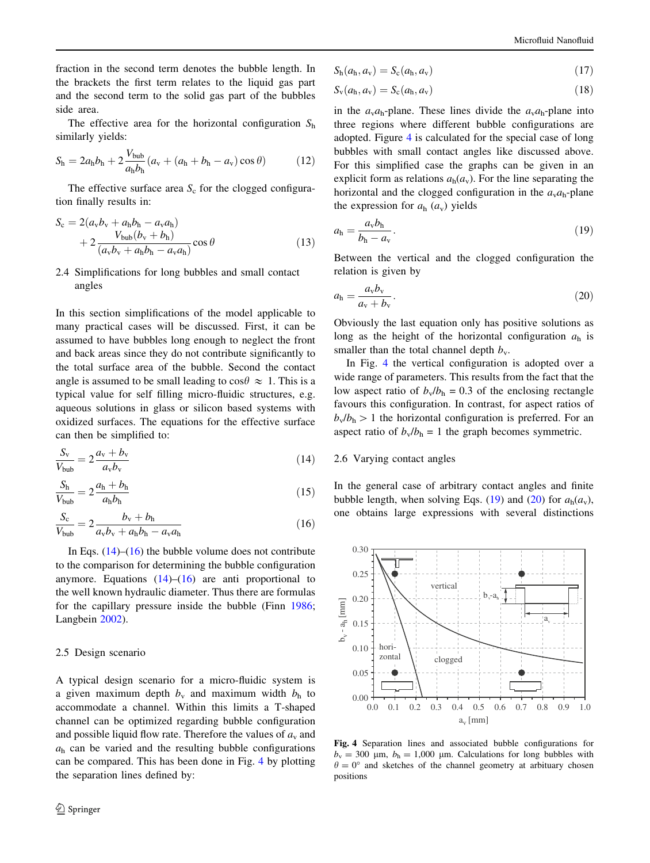<span id="page-3-0"></span>fraction in the second term denotes the bubble length. In the brackets the first term relates to the liquid gas part and the second term to the solid gas part of the bubbles side area.

The effective area for the horizontal configuration  $S_h$ similarly yields:

$$
S_{\rm h} = 2a_{\rm h}b_{\rm h} + 2\frac{V_{\rm bub}}{a_{\rm h}b_{\rm h}}(a_{\rm v} + (a_{\rm h} + b_{\rm h} - a_{\rm v})\cos\theta) \tag{12}
$$

The effective surface area  $S_c$  for the clogged configuration finally results in:

$$
S_c = 2(a_vb_v + a_hb_h - a_va_h)
$$
  
+ 
$$
2\frac{V_{bub}(b_v + b_h)}{(a_vb_v + a_hb_h - a_va_h)}\cos\theta
$$
 (13)

# 2.4 Simplifications for long bubbles and small contact angles

In this section simplifications of the model applicable to many practical cases will be discussed. First, it can be assumed to have bubbles long enough to neglect the front and back areas since they do not contribute significantly to the total surface area of the bubble. Second the contact angle is assumed to be small leading to  $\cos\theta \approx 1$ . This is a typical value for self filling micro-fluidic structures, e.g. aqueous solutions in glass or silicon based systems with oxidized surfaces. The equations for the effective surface can then be simplified to:

$$
\frac{S_v}{V_{\text{bub}}} = 2 \frac{a_v + b_v}{a_v b_v} \tag{14}
$$

$$
\frac{S_h}{V_{\text{bub}}} = 2 \frac{a_h + b_h}{a_h b_h} \tag{15}
$$

$$
\frac{S_{\rm c}}{V_{\rm bub}} = 2 \frac{b_{\rm v} + b_{\rm h}}{a_{\rm v}b_{\rm v} + a_{\rm h}b_{\rm h} - a_{\rm v}a_{\rm h}}
$$
(16)

In Eqs.  $(14)$ – $(16)$  the bubble volume does not contribute to the comparison for determining the bubble configuration anymore. Equations  $(14)$ – $(16)$  are anti proportional to the well known hydraulic diameter. Thus there are formulas for the capillary pressure inside the bubble (Finn [1986](#page-9-0); Langbein [2002\)](#page-9-0).

# 2.5 Design scenario

A typical design scenario for a micro-fluidic system is a given maximum depth  $b_y$  and maximum width  $b_h$  to accommodate a channel. Within this limits a T-shaped channel can be optimized regarding bubble configuration and possible liquid flow rate. Therefore the values of  $a<sub>v</sub>$  and  $a<sub>h</sub>$  can be varied and the resulting bubble configurations can be compared. This has been done in Fig. 4 by plotting the separation lines defined by:

$$
S_{\rm h}(a_{\rm h}, a_{\rm v}) = S_{\rm c}(a_{\rm h}, a_{\rm v}) \tag{17}
$$

$$
S_{\rm v}(a_{\rm h}, a_{\rm v}) = S_{\rm c}(a_{\rm h}, a_{\rm v})\tag{18}
$$

in the  $a_{\rm v}a_{\rm h}$ -plane. These lines divide the  $a_{\rm v}a_{\rm h}$ -plane into three regions where different bubble configurations are adopted. Figure 4 is calculated for the special case of long bubbles with small contact angles like discussed above. For this simplified case the graphs can be given in an explicit form as relations  $a_h(a_v)$ . For the line separating the horizontal and the clogged configuration in the  $a<sub>v</sub>a<sub>h</sub>$ -plane the expression for  $a<sub>h</sub>$  ( $a<sub>v</sub>$ ) yields

$$
a_{\rm h} = \frac{a_{\rm v}b_{\rm h}}{b_{\rm h} - a_{\rm v}}.\tag{19}
$$

Between the vertical and the clogged configuration the relation is given by

$$
a_{\rm h} = \frac{a_{\rm v} b_{\rm v}}{a_{\rm v} + b_{\rm v}}.\tag{20}
$$

Obviously the last equation only has positive solutions as long as the height of the horizontal configuration  $a<sub>h</sub>$  is smaller than the total channel depth  $b_v$ .

In Fig. 4 the vertical configuration is adopted over a wide range of parameters. This results from the fact that the low aspect ratio of  $b_v/b_h = 0.3$  of the enclosing rectangle favours this configuration. In contrast, for aspect ratios of  $b_v/b_h > 1$  the horizontal configuration is preferred. For an aspect ratio of  $b_v/b_h = 1$  the graph becomes symmetric.

# 2.6 Varying contact angles

In the general case of arbitrary contact angles and finite bubble length, when solving Eqs. (19) and (20) for  $a_h(a_v)$ , one obtains large expressions with several distinctions



Fig. 4 Separation lines and associated bubble configurations for  $b_v = 300 \text{ }\mu\text{m}, b_h = 1,000 \text{ }\mu\text{m}.$  Calculations for long bubbles with  $\theta = 0^{\circ}$  and sketches of the channel geometry at arbituary chosen positions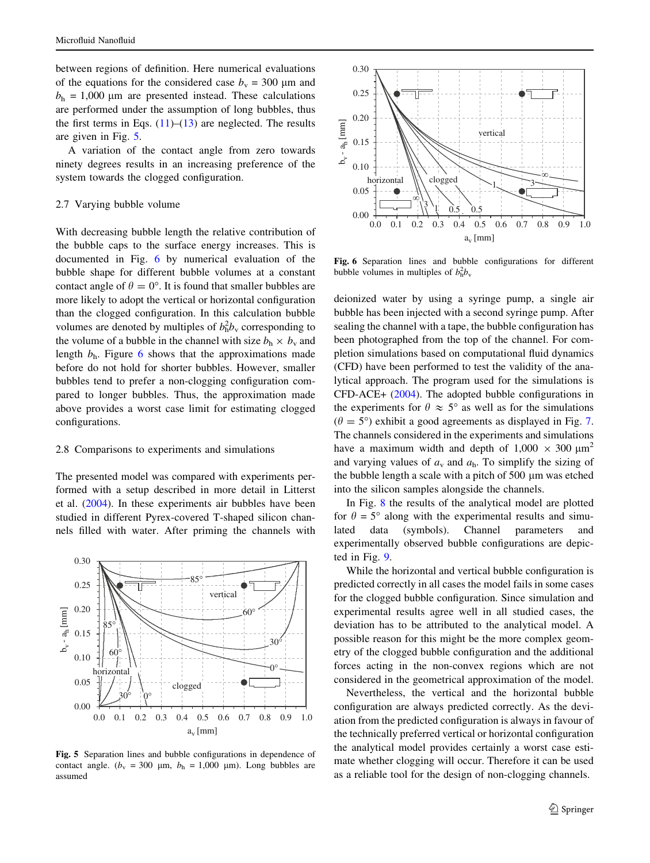between regions of definition. Here numerical evaluations of the equations for the considered case  $b_y = 300 \mu m$  and  $b<sub>h</sub> = 1,000 \mu m$  are presented instead. These calculations are performed under the assumption of long bubbles, thus the first terms in Eqs.  $(11)$  $(11)$ – $(13)$  $(13)$  are neglected. The results are given in Fig. 5.

A variation of the contact angle from zero towards ninety degrees results in an increasing preference of the system towards the clogged configuration.

#### 2.7 Varying bubble volume

With decreasing bubble length the relative contribution of the bubble caps to the surface energy increases. This is documented in Fig. 6 by numerical evaluation of the bubble shape for different bubble volumes at a constant contact angle of  $\theta = 0^{\circ}$ . It is found that smaller bubbles are more likely to adopt the vertical or horizontal configuration than the clogged configuration. In this calculation bubble volumes are denoted by multiples of  $b_h^2 b_v$  corresponding to the volume of a bubble in the channel with size  $b_h \times b_v$  and length  $b<sub>h</sub>$ . Figure 6 shows that the approximations made before do not hold for shorter bubbles. However, smaller bubbles tend to prefer a non-clogging configuration compared to longer bubbles. Thus, the approximation made above provides a worst case limit for estimating clogged configurations.

#### 2.8 Comparisons to experiments and simulations

The presented model was compared with experiments performed with a setup described in more detail in Litterst et al. ([2004\)](#page-9-0). In these experiments air bubbles have been studied in different Pyrex-covered T-shaped silicon channels filled with water. After priming the channels with



Fig. 5 Separation lines and bubble configurations in dependence of contact angle. ( $b_v$  = 300 µm,  $b_h$  = 1,000 µm). Long bubbles are assumed



Fig. 6 Separation lines and bubble configurations for different bubble volumes in multiples of  $b_h^2 b_v$ 

deionized water by using a syringe pump, a single air bubble has been injected with a second syringe pump. After sealing the channel with a tape, the bubble configuration has been photographed from the top of the channel. For completion simulations based on computational fluid dynamics (CFD) have been performed to test the validity of the analytical approach. The program used for the simulations is CFD-ACE+ [\(2004](#page-9-0)). The adopted bubble configurations in the experiments for  $\theta \approx 5^{\circ}$  as well as for the simulations  $(\theta = 5^{\circ})$  exhibit a good agreements as displayed in Fig. [7.](#page-5-0) The channels considered in the experiments and simulations have a maximum width and depth of  $1,000 \times 300 \mu m^2$ and varying values of  $a<sub>v</sub>$  and  $a<sub>h</sub>$ . To simplify the sizing of the bubble length a scale with a pitch of  $500 \mu m$  was etched into the silicon samples alongside the channels.

In Fig. [8](#page-5-0) the results of the analytical model are plotted for  $\theta = 5^{\circ}$  along with the experimental results and simulated data (symbols). Channel parameters and experimentally observed bubble configurations are depicted in Fig. [9.](#page-5-0)

While the horizontal and vertical bubble configuration is predicted correctly in all cases the model fails in some cases for the clogged bubble configuration. Since simulation and experimental results agree well in all studied cases, the deviation has to be attributed to the analytical model. A possible reason for this might be the more complex geometry of the clogged bubble configuration and the additional forces acting in the non-convex regions which are not considered in the geometrical approximation of the model.

Nevertheless, the vertical and the horizontal bubble configuration are always predicted correctly. As the deviation from the predicted configuration is always in favour of the technically preferred vertical or horizontal configuration the analytical model provides certainly a worst case estimate whether clogging will occur. Therefore it can be used as a reliable tool for the design of non-clogging channels.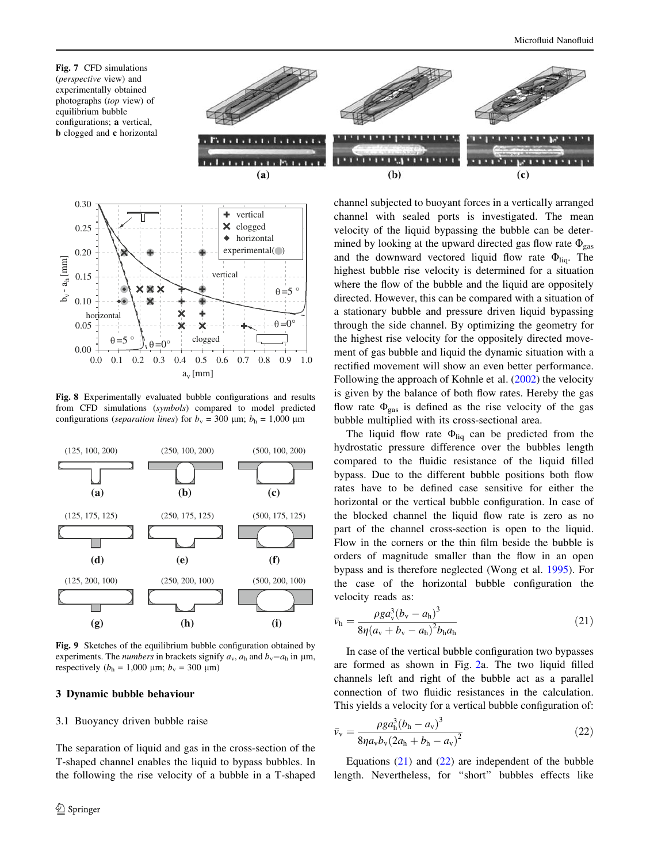<span id="page-5-0"></span>Fig. 7 CFD simulations (perspective view) and experimentally obtained photographs (top view) of equilibrium bubble configurations; a vertical, b clogged and c horizontal





Fig. 8 Experimentally evaluated bubble configurations and results from CFD simulations (symbols) compared to model predicted configurations (separation lines) for  $b_y = 300 \text{ µm}; b_h = 1,000 \text{ µm}$ 



Fig. 9 Sketches of the equilibrium bubble configuration obtained by experiments. The *numbers* in brackets signify  $a_v$ ,  $a_h$  and  $b_v - a_h$  in  $\mu$ m, respectively ( $b<sub>h</sub> = 1,000 \mu m$ ;  $b<sub>v</sub> = 300 \mu m$ )

### 3 Dynamic bubble behaviour

### 3.1 Buoyancy driven bubble raise

The separation of liquid and gas in the cross-section of the T-shaped channel enables the liquid to bypass bubbles. In the following the rise velocity of a bubble in a T-shaped channel subjected to buoyant forces in a vertically arranged channel with sealed ports is investigated. The mean velocity of the liquid bypassing the bubble can be determined by looking at the upward directed gas flow rate  $\Phi_{\rm gas}$ and the downward vectored liquid flow rate  $\Phi_{\text{liq}}$ . The highest bubble rise velocity is determined for a situation where the flow of the bubble and the liquid are oppositely directed. However, this can be compared with a situation of a stationary bubble and pressure driven liquid bypassing through the side channel. By optimizing the geometry for the highest rise velocity for the oppositely directed movement of gas bubble and liquid the dynamic situation with a rectified movement will show an even better performance. Following the approach of Kohnle et al. ([2002\)](#page-9-0) the velocity is given by the balance of both flow rates. Hereby the gas flow rate  $\Phi_{\rm gas}$  is defined as the rise velocity of the gas bubble multiplied with its cross-sectional area.

The liquid flow rate  $\Phi_{liq}$  can be predicted from the hydrostatic pressure difference over the bubbles length compared to the fluidic resistance of the liquid filled bypass. Due to the different bubble positions both flow rates have to be defined case sensitive for either the horizontal or the vertical bubble configuration. In case of the blocked channel the liquid flow rate is zero as no part of the channel cross-section is open to the liquid. Flow in the corners or the thin film beside the bubble is orders of magnitude smaller than the flow in an open bypass and is therefore neglected (Wong et al. [1995](#page-9-0)). For the case of the horizontal bubble configuration the velocity reads as:

$$
\bar{v}_{\rm h} = \frac{\rho g a_{\rm v}^3 (b_{\rm v} - a_{\rm h})^3}{8\eta (a_{\rm v} + b_{\rm v} - a_{\rm h})^2 b_{\rm h} a_{\rm h}}
$$
(21)

In case of the vertical bubble configuration two bypasses are formed as shown in Fig. [2a](#page-1-0). The two liquid filled channels left and right of the bubble act as a parallel connection of two fluidic resistances in the calculation. This yields a velocity for a vertical bubble configuration of:

$$
\bar{v}_{v} = \frac{\rho g a_{h}^{3} (b_{h} - a_{v})^{3}}{8 \eta a_{v} b_{v} (2a_{h} + b_{h} - a_{v})^{2}}
$$
(22)

Equations  $(21)$  and  $(22)$  are independent of the bubble length. Nevertheless, for ''short'' bubbles effects like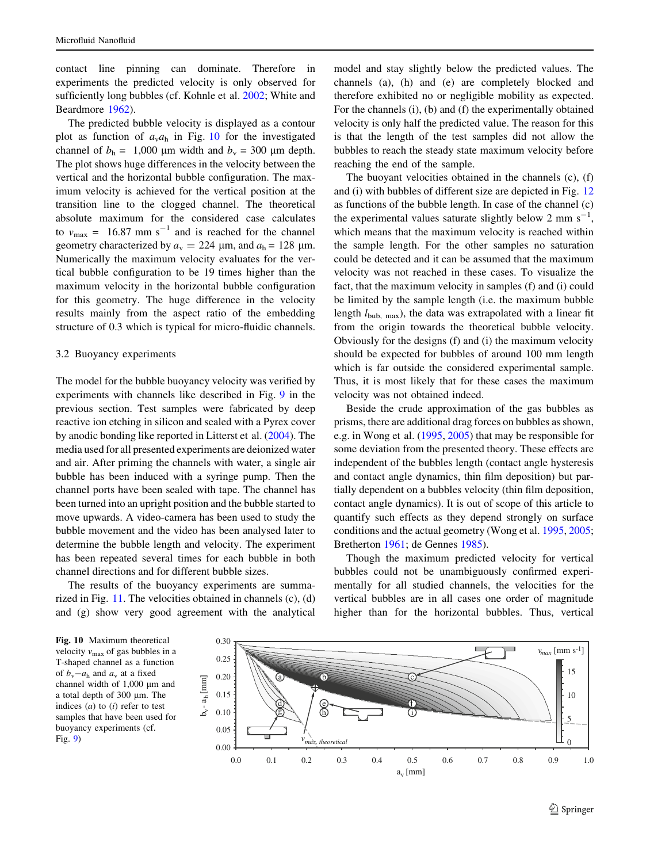<span id="page-6-0"></span>contact line pinning can dominate. Therefore in experiments the predicted velocity is only observed for sufficiently long bubbles (cf. Kohnle et al. [2002;](#page-9-0) White and Beardmore [1962\)](#page-9-0).

The predicted bubble velocity is displayed as a contour plot as function of  $a_v a_h$  in Fig. 10 for the investigated channel of  $b_h = 1,000 \mu m$  width and  $b_v = 300 \mu m$  depth. The plot shows huge differences in the velocity between the vertical and the horizontal bubble configuration. The maximum velocity is achieved for the vertical position at the transition line to the clogged channel. The theoretical absolute maximum for the considered case calculates to  $v_{\text{max}} = 16.87 \text{ mm s}^{-1}$  and is reached for the channel geometry characterized by  $a_v = 224 \mu m$ , and  $a_h = 128 \mu m$ . Numerically the maximum velocity evaluates for the vertical bubble configuration to be 19 times higher than the maximum velocity in the horizontal bubble configuration for this geometry. The huge difference in the velocity results mainly from the aspect ratio of the embedding structure of 0.3 which is typical for micro-fluidic channels.

# 3.2 Buoyancy experiments

The model for the bubble buoyancy velocity was verified by experiments with channels like described in Fig. [9](#page-5-0) in the previous section. Test samples were fabricated by deep reactive ion etching in silicon and sealed with a Pyrex cover by anodic bonding like reported in Litterst et al. ([2004\)](#page-9-0). The media used for all presented experiments are deionized water and air. After priming the channels with water, a single air bubble has been induced with a syringe pump. Then the channel ports have been sealed with tape. The channel has been turned into an upright position and the bubble started to move upwards. A video-camera has been used to study the bubble movement and the video has been analysed later to determine the bubble length and velocity. The experiment has been repeated several times for each bubble in both channel directions and for different bubble sizes.

The results of the buoyancy experiments are summarized in Fig. [11.](#page-7-0) The velocities obtained in channels (c), (d) and (g) show very good agreement with the analytical model and stay slightly below the predicted values. The channels (a), (h) and (e) are completely blocked and therefore exhibited no or negligible mobility as expected. For the channels (i), (b) and (f) the experimentally obtained velocity is only half the predicted value. The reason for this is that the length of the test samples did not allow the bubbles to reach the steady state maximum velocity before reaching the end of the sample.

The buoyant velocities obtained in the channels (c), (f) and (i) with bubbles of different size are depicted in Fig. [12](#page-7-0) as functions of the bubble length. In case of the channel (c) the experimental values saturate slightly below 2 mm  $s^{-1}$ , which means that the maximum velocity is reached within the sample length. For the other samples no saturation could be detected and it can be assumed that the maximum velocity was not reached in these cases. To visualize the fact, that the maximum velocity in samples (f) and (i) could be limited by the sample length (i.e. the maximum bubble length  $l_{\text{bub, max}}$ , the data was extrapolated with a linear fit from the origin towards the theoretical bubble velocity. Obviously for the designs (f) and (i) the maximum velocity should be expected for bubbles of around 100 mm length which is far outside the considered experimental sample. Thus, it is most likely that for these cases the maximum velocity was not obtained indeed.

Beside the crude approximation of the gas bubbles as prisms, there are additional drag forces on bubbles as shown, e.g. in Wong et al. ([1995,](#page-9-0) [2005](#page-9-0)) that may be responsible for some deviation from the presented theory. These effects are independent of the bubbles length (contact angle hysteresis and contact angle dynamics, thin film deposition) but partially dependent on a bubbles velocity (thin film deposition, contact angle dynamics). It is out of scope of this article to quantify such effects as they depend strongly on surface conditions and the actual geometry (Wong et al. [1995](#page-9-0), [2005](#page-9-0); Bretherton [1961;](#page-9-0) de Gennes [1985](#page-9-0)).

Though the maximum predicted velocity for vertical bubbles could not be unambiguously confirmed experimentally for all studied channels, the velocities for the vertical bubbles are in all cases one order of magnitude higher than for the horizontal bubbles. Thus, vertical

Fig. 10 Maximum theoretical velocity  $v_{\text{max}}$  of gas bubbles in a T-shaped channel as a function of  $b_y - a_h$  and  $a_y$  at a fixed channel width of  $1,000 \mu m$  and a total depth of 300 µm. The indices  $(a)$  to  $(i)$  refer to test samples that have been used for buoyancy experiments (cf. Fig. [9](#page-5-0))

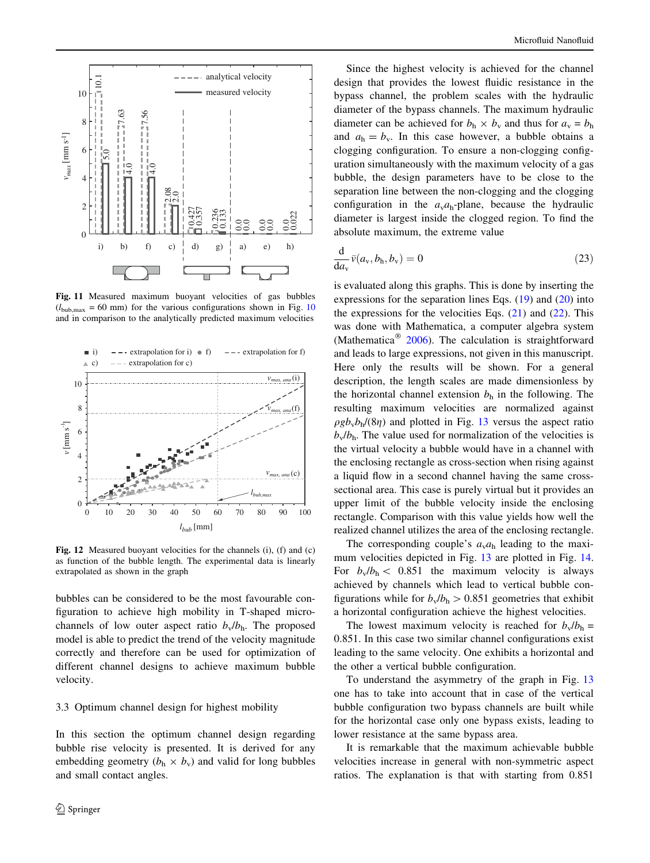<span id="page-7-0"></span>

Fig. 11 Measured maximum buoyant velocities of gas bubbles  $(l_{\text{bub max}} = 60 \text{ mm})$  for the various configurations shown in Fig. [10](#page-6-0) and in comparison to the analytically predicted maximum velocities



Fig. 12 Measured buoyant velocities for the channels (i), (f) and (c) as function of the bubble length. The experimental data is linearly extrapolated as shown in the graph

bubbles can be considered to be the most favourable configuration to achieve high mobility in T-shaped microchannels of low outer aspect ratio  $b_v/b_h$ . The proposed model is able to predict the trend of the velocity magnitude correctly and therefore can be used for optimization of different channel designs to achieve maximum bubble velocity.

# 3.3 Optimum channel design for highest mobility

In this section the optimum channel design regarding bubble rise velocity is presented. It is derived for any embedding geometry  $(b_h \times b_v)$  and valid for long bubbles and small contact angles.

Since the highest velocity is achieved for the channel design that provides the lowest fluidic resistance in the bypass channel, the problem scales with the hydraulic diameter of the bypass channels. The maximum hydraulic diameter can be achieved for  $b_h \times b_v$  and thus for  $a_v = b_h$ and  $a_h = b_v$ . In this case however, a bubble obtains a clogging configuration. To ensure a non-clogging configuration simultaneously with the maximum velocity of a gas bubble, the design parameters have to be close to the separation line between the non-clogging and the clogging configuration in the  $a<sub>v</sub>a<sub>h</sub>$ -plane, because the hydraulic diameter is largest inside the clogged region. To find the absolute maximum, the extreme value

$$
\frac{\mathrm{d}}{\mathrm{d}a_v}\bar{v}(a_v,b_h,b_v) = 0\tag{23}
$$

is evaluated along this graphs. This is done by inserting the expressions for the separation lines Eqs. [\(19](#page-3-0)) and [\(20](#page-3-0)) into the expressions for the velocities Eqs.  $(21)$  $(21)$  and  $(22)$  $(22)$ . This was done with Mathematica, a computer algebra system (Mathematica<sup>®</sup> [2006](#page-9-0)). The calculation is straightforward and leads to large expressions, not given in this manuscript. Here only the results will be shown. For a general description, the length scales are made dimensionless by the horizontal channel extension  $b<sub>h</sub>$  in the following. The resulting maximum velocities are normalized against  $\rho g b_v b_h/(8\eta)$  and plotted in Fig. [13](#page-8-0) versus the aspect ratio  $b_v/b_h$ . The value used for normalization of the velocities is the virtual velocity a bubble would have in a channel with the enclosing rectangle as cross-section when rising against a liquid flow in a second channel having the same crosssectional area. This case is purely virtual but it provides an upper limit of the bubble velocity inside the enclosing rectangle. Comparison with this value yields how well the realized channel utilizes the area of the enclosing rectangle.

The corresponding couple's  $a<sub>v</sub>a<sub>h</sub>$  leading to the maximum velocities depicted in Fig. [13](#page-8-0) are plotted in Fig. [14.](#page-8-0) For  $b_v/b_h < 0.851$  the maximum velocity is always achieved by channels which lead to vertical bubble configurations while for  $b_v/b_h > 0.851$  geometries that exhibit a horizontal configuration achieve the highest velocities.

The lowest maximum velocity is reached for  $b_v/b_h =$ 0.851. In this case two similar channel configurations exist leading to the same velocity. One exhibits a horizontal and the other a vertical bubble configuration.

To understand the asymmetry of the graph in Fig. [13](#page-8-0) one has to take into account that in case of the vertical bubble configuration two bypass channels are built while for the horizontal case only one bypass exists, leading to lower resistance at the same bypass area.

It is remarkable that the maximum achievable bubble velocities increase in general with non-symmetric aspect ratios. The explanation is that with starting from 0.851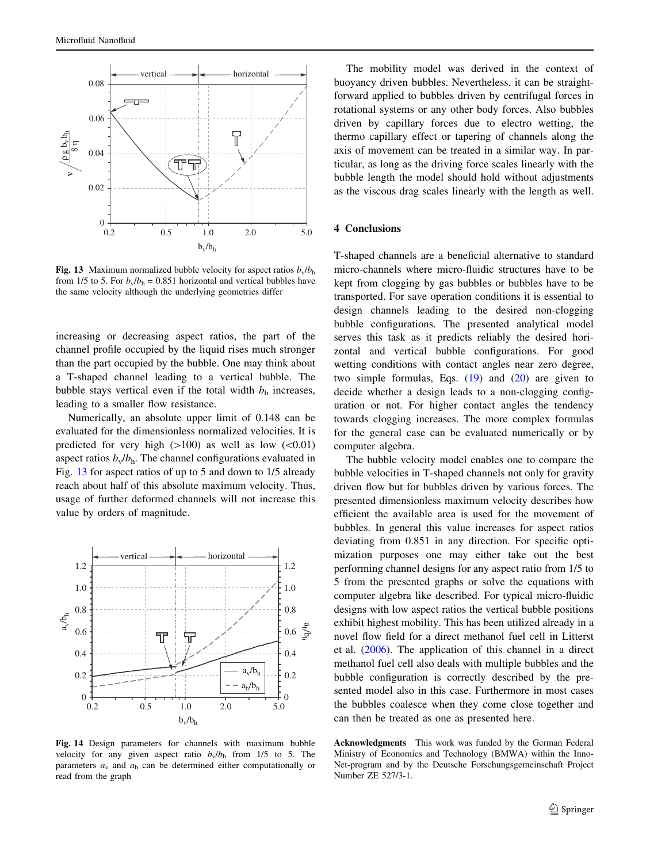<span id="page-8-0"></span>

Fig. 13 Maximum normalized bubble velocity for aspect ratios  $b_v/b_h$ from 1/5 to 5. For  $b_v/b_h = 0.851$  horizontal and vertical bubbles have the same velocity although the underlying geometries differ

increasing or decreasing aspect ratios, the part of the channel profile occupied by the liquid rises much stronger than the part occupied by the bubble. One may think about a T-shaped channel leading to a vertical bubble. The bubble stays vertical even if the total width  $b<sub>h</sub>$  increases, leading to a smaller flow resistance.

Numerically, an absolute upper limit of 0.148 can be evaluated for the dimensionless normalized velocities. It is predicted for very high  $(>100)$  as well as low  $(<0.01)$ aspect ratios  $b_v/b_h$ . The channel configurations evaluated in Fig. 13 for aspect ratios of up to 5 and down to 1/5 already reach about half of this absolute maximum velocity. Thus, usage of further deformed channels will not increase this value by orders of magnitude.



Fig. 14 Design parameters for channels with maximum bubble velocity for any given aspect ratio  $b_v/b_h$  from 1/5 to 5. The parameters  $a_v$  and  $a_h$  can be determined either computationally or read from the graph

The mobility model was derived in the context of buoyancy driven bubbles. Nevertheless, it can be straightforward applied to bubbles driven by centrifugal forces in rotational systems or any other body forces. Also bubbles driven by capillary forces due to electro wetting, the thermo capillary effect or tapering of channels along the axis of movement can be treated in a similar way. In particular, as long as the driving force scales linearly with the bubble length the model should hold without adjustments as the viscous drag scales linearly with the length as well.

### 4 Conclusions

T-shaped channels are a beneficial alternative to standard micro-channels where micro-fluidic structures have to be kept from clogging by gas bubbles or bubbles have to be transported. For save operation conditions it is essential to design channels leading to the desired non-clogging bubble configurations. The presented analytical model serves this task as it predicts reliably the desired horizontal and vertical bubble configurations. For good wetting conditions with contact angles near zero degree. two simple formulas, Eqs.  $(19)$  $(19)$  and  $(20)$  $(20)$  are given to decide whether a design leads to a non-clogging configuration or not. For higher contact angles the tendency towards clogging increases. The more complex formulas for the general case can be evaluated numerically or by computer algebra.

The bubble velocity model enables one to compare the bubble velocities in T-shaped channels not only for gravity driven flow but for bubbles driven by various forces. The presented dimensionless maximum velocity describes how efficient the available area is used for the movement of bubbles. In general this value increases for aspect ratios deviating from 0.851 in any direction. For specific optimization purposes one may either take out the best performing channel designs for any aspect ratio from 1/5 to 5 from the presented graphs or solve the equations with computer algebra like described. For typical micro-fluidic designs with low aspect ratios the vertical bubble positions exhibit highest mobility. This has been utilized already in a novel flow field for a direct methanol fuel cell in Litterst et al. [\(2006](#page-9-0)). The application of this channel in a direct methanol fuel cell also deals with multiple bubbles and the bubble configuration is correctly described by the presented model also in this case. Furthermore in most cases the bubbles coalesce when they come close together and can then be treated as one as presented here.

Acknowledgments This work was funded by the German Federal Ministry of Economics and Technology (BMWA) within the Inno-Net-program and by the Deutsche Forschungsgemeinschaft Project Number ZE 527/3-1.